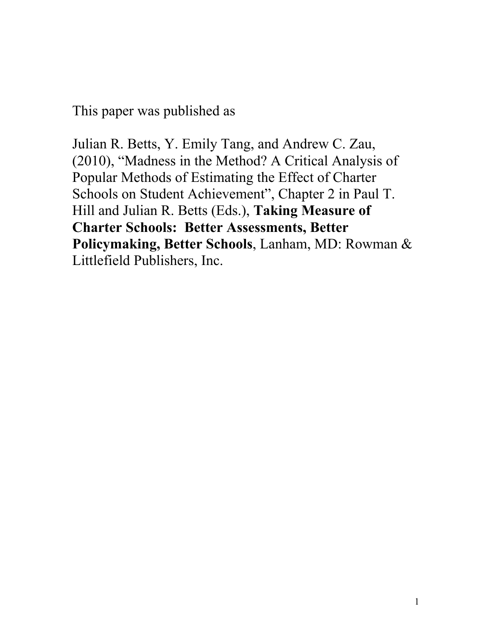This paper was published as

Julian R. Betts, Y. Emily Tang, and Andrew C. Zau, (2010), "Madness in the Method? A Critical Analysis of Popular Methods of Estimating the Effect of Charter Schools on Student Achievement", Chapter 2 in Paul T. Hill and Julian R. Betts (Eds.), **Taking Measure of Charter Schools: Better Assessments, Better Policymaking, Better Schools**, Lanham, MD: Rowman & Littlefield Publishers, Inc.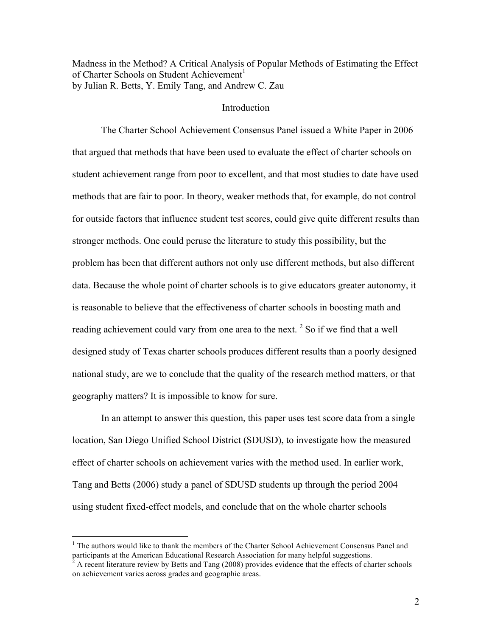Madness in the Method? A Critical Analysis of Popular Methods of Estimating the Effect of Charter Schools on Student Achievement<sup>1</sup> by Julian R. Betts, Y. Emily Tang, and Andrew C. Zau

#### **Introduction**

The Charter School Achievement Consensus Panel issued a White Paper in 2006 that argued that methods that have been used to evaluate the effect of charter schools on student achievement range from poor to excellent, and that most studies to date have used methods that are fair to poor. In theory, weaker methods that, for example, do not control for outside factors that influence student test scores, could give quite different results than stronger methods. One could peruse the literature to study this possibility, but the problem has been that different authors not only use different methods, but also different data. Because the whole point of charter schools is to give educators greater autonomy, it is reasonable to believe that the effectiveness of charter schools in boosting math and reading achievement could vary from one area to the next.<sup>2</sup> So if we find that a well designed study of Texas charter schools produces different results than a poorly designed national study, are we to conclude that the quality of the research method matters, or that geography matters? It is impossible to know for sure.

In an attempt to answer this question, this paper uses test score data from a single location, San Diego Unified School District (SDUSD), to investigate how the measured effect of charter schools on achievement varies with the method used. In earlier work, Tang and Betts (2006) study a panel of SDUSD students up through the period 2004 using student fixed-effect models, and conclude that on the whole charter schools

<sup>&</sup>lt;sup>1</sup> The authors would like to thank the members of the Charter School Achievement Consensus Panel and participants at the American Educational Research Association for many helpful suggestions.

<sup>&</sup>lt;sup>2</sup> A recent literature review by Betts and Tang (2008) provides evidence that the effects of charter schools on achievement varies across grades and geographic areas.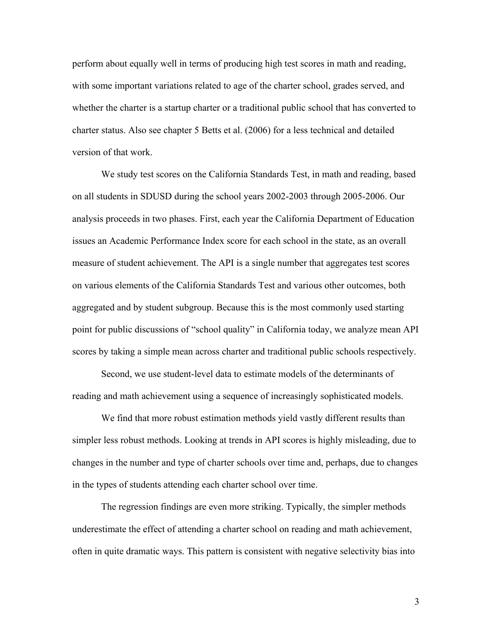perform about equally well in terms of producing high test scores in math and reading, with some important variations related to age of the charter school, grades served, and whether the charter is a startup charter or a traditional public school that has converted to charter status. Also see chapter 5 Betts et al. (2006) for a less technical and detailed version of that work.

We study test scores on the California Standards Test, in math and reading, based on all students in SDUSD during the school years 2002-2003 through 2005-2006. Our analysis proceeds in two phases. First, each year the California Department of Education issues an Academic Performance Index score for each school in the state, as an overall measure of student achievement. The API is a single number that aggregates test scores on various elements of the California Standards Test and various other outcomes, both aggregated and by student subgroup. Because this is the most commonly used starting point for public discussions of "school quality" in California today, we analyze mean API scores by taking a simple mean across charter and traditional public schools respectively.

Second, we use student-level data to estimate models of the determinants of reading and math achievement using a sequence of increasingly sophisticated models.

We find that more robust estimation methods yield vastly different results than simpler less robust methods. Looking at trends in API scores is highly misleading, due to changes in the number and type of charter schools over time and, perhaps, due to changes in the types of students attending each charter school over time.

The regression findings are even more striking. Typically, the simpler methods underestimate the effect of attending a charter school on reading and math achievement, often in quite dramatic ways. This pattern is consistent with negative selectivity bias into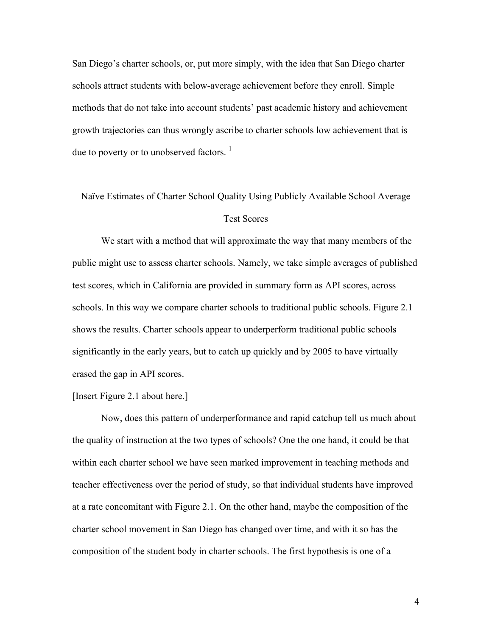San Diego's charter schools, or, put more simply, with the idea that San Diego charter schools attract students with below-average achievement before they enroll. Simple methods that do not take into account students' past academic history and achievement growth trajectories can thus wrongly ascribe to charter schools low achievement that is due to poverty or to unobserved factors.  $\frac{1}{1}$ 

# Naïve Estimates of Charter School Quality Using Publicly Available School Average Test Scores

We start with a method that will approximate the way that many members of the public might use to assess charter schools. Namely, we take simple averages of published test scores, which in California are provided in summary form as API scores, across schools. In this way we compare charter schools to traditional public schools. Figure 2.1 shows the results. Charter schools appear to underperform traditional public schools significantly in the early years, but to catch up quickly and by 2005 to have virtually erased the gap in API scores.

#### [Insert Figure 2.1 about here.]

Now, does this pattern of underperformance and rapid catchup tell us much about the quality of instruction at the two types of schools? One the one hand, it could be that within each charter school we have seen marked improvement in teaching methods and teacher effectiveness over the period of study, so that individual students have improved at a rate concomitant with Figure 2.1. On the other hand, maybe the composition of the charter school movement in San Diego has changed over time, and with it so has the composition of the student body in charter schools. The first hypothesis is one of a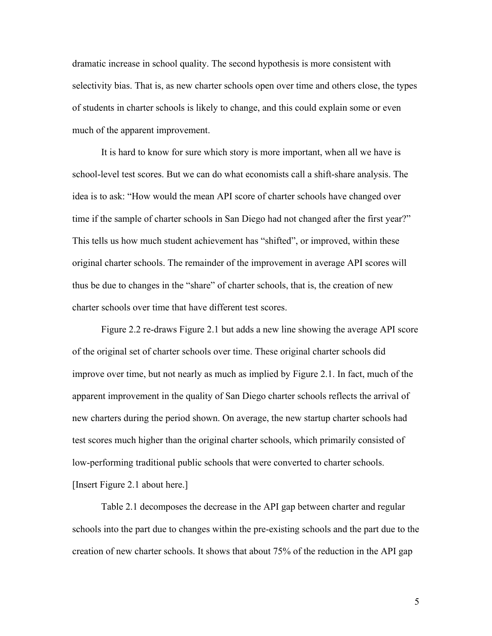dramatic increase in school quality. The second hypothesis is more consistent with selectivity bias. That is, as new charter schools open over time and others close, the types of students in charter schools is likely to change, and this could explain some or even much of the apparent improvement.

It is hard to know for sure which story is more important, when all we have is school-level test scores. But we can do what economists call a shift-share analysis. The idea is to ask: "How would the mean API score of charter schools have changed over time if the sample of charter schools in San Diego had not changed after the first year?" This tells us how much student achievement has "shifted", or improved, within these original charter schools. The remainder of the improvement in average API scores will thus be due to changes in the "share" of charter schools, that is, the creation of new charter schools over time that have different test scores.

Figure 2.2 re-draws Figure 2.1 but adds a new line showing the average API score of the original set of charter schools over time. These original charter schools did improve over time, but not nearly as much as implied by Figure 2.1. In fact, much of the apparent improvement in the quality of San Diego charter schools reflects the arrival of new charters during the period shown. On average, the new startup charter schools had test scores much higher than the original charter schools, which primarily consisted of low-performing traditional public schools that were converted to charter schools. [Insert Figure 2.1 about here.]

Table 2.1 decomposes the decrease in the API gap between charter and regular schools into the part due to changes within the pre-existing schools and the part due to the creation of new charter schools. It shows that about 75% of the reduction in the API gap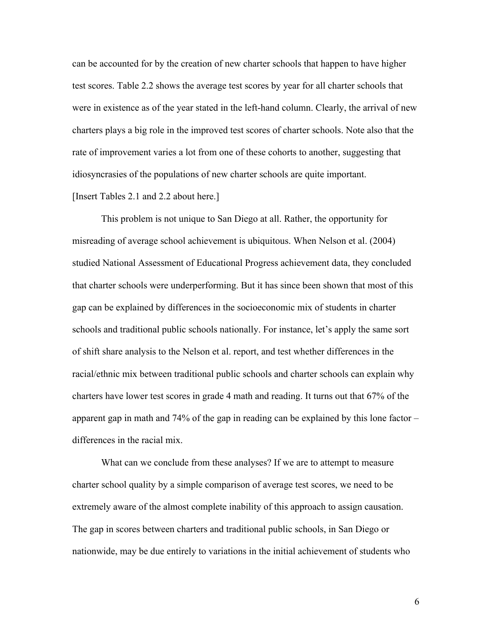can be accounted for by the creation of new charter schools that happen to have higher test scores. Table 2.2 shows the average test scores by year for all charter schools that were in existence as of the year stated in the left-hand column. Clearly, the arrival of new charters plays a big role in the improved test scores of charter schools. Note also that the rate of improvement varies a lot from one of these cohorts to another, suggesting that idiosyncrasies of the populations of new charter schools are quite important.

#### [Insert Tables 2.1 and 2.2 about here.]

This problem is not unique to San Diego at all. Rather, the opportunity for misreading of average school achievement is ubiquitous. When Nelson et al. (2004) studied National Assessment of Educational Progress achievement data, they concluded that charter schools were underperforming. But it has since been shown that most of this gap can be explained by differences in the socioeconomic mix of students in charter schools and traditional public schools nationally. For instance, let's apply the same sort of shift share analysis to the Nelson et al. report, and test whether differences in the racial/ethnic mix between traditional public schools and charter schools can explain why charters have lower test scores in grade 4 math and reading. It turns out that 67% of the apparent gap in math and 74% of the gap in reading can be explained by this lone factor – differences in the racial mix.

What can we conclude from these analyses? If we are to attempt to measure charter school quality by a simple comparison of average test scores, we need to be extremely aware of the almost complete inability of this approach to assign causation. The gap in scores between charters and traditional public schools, in San Diego or nationwide, may be due entirely to variations in the initial achievement of students who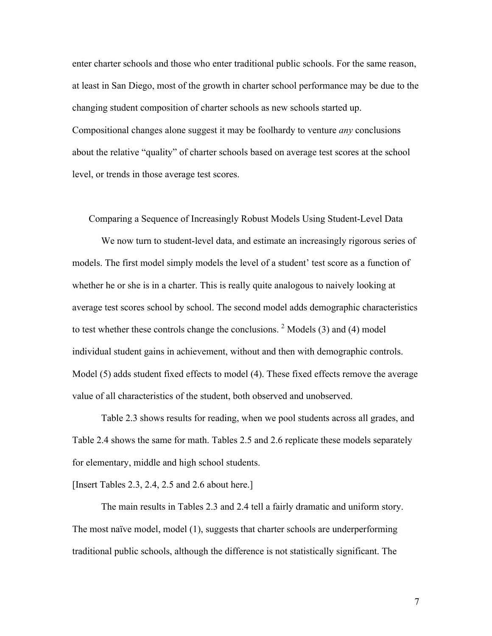enter charter schools and those who enter traditional public schools. For the same reason, at least in San Diego, most of the growth in charter school performance may be due to the changing student composition of charter schools as new schools started up. Compositional changes alone suggest it may be foolhardy to venture *any* conclusions about the relative "quality" of charter schools based on average test scores at the school level, or trends in those average test scores.

Comparing a Sequence of Increasingly Robust Models Using Student-Level Data

We now turn to student-level data, and estimate an increasingly rigorous series of models. The first model simply models the level of a student' test score as a function of whether he or she is in a charter. This is really quite analogous to naively looking at average test scores school by school. The second model adds demographic characteristics to test whether these controls change the conclusions.  $2 \text{ Models} (3)$  and (4) model individual student gains in achievement, without and then with demographic controls. Model (5) adds student fixed effects to model (4). These fixed effects remove the average value of all characteristics of the student, both observed and unobserved.

Table 2.3 shows results for reading, when we pool students across all grades, and Table 2.4 shows the same for math. Tables 2.5 and 2.6 replicate these models separately for elementary, middle and high school students.

[Insert Tables 2.3, 2.4, 2.5 and 2.6 about here.]

The main results in Tables 2.3 and 2.4 tell a fairly dramatic and uniform story. The most naïve model, model (1), suggests that charter schools are underperforming traditional public schools, although the difference is not statistically significant. The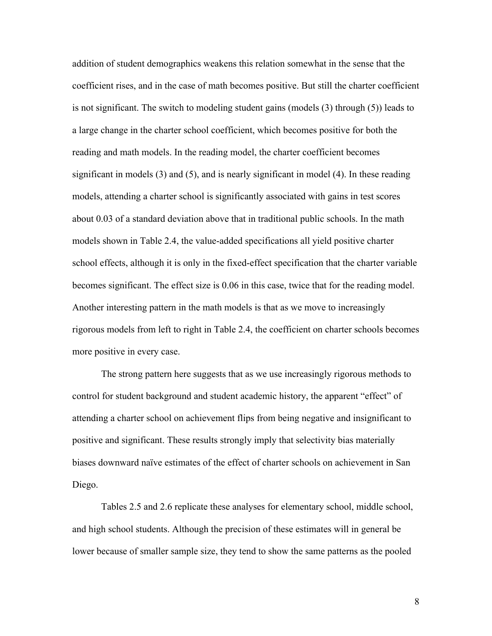addition of student demographics weakens this relation somewhat in the sense that the coefficient rises, and in the case of math becomes positive. But still the charter coefficient is not significant. The switch to modeling student gains (models (3) through (5)) leads to a large change in the charter school coefficient, which becomes positive for both the reading and math models. In the reading model, the charter coefficient becomes significant in models (3) and (5), and is nearly significant in model (4). In these reading models, attending a charter school is significantly associated with gains in test scores about 0.03 of a standard deviation above that in traditional public schools. In the math models shown in Table 2.4, the value-added specifications all yield positive charter school effects, although it is only in the fixed-effect specification that the charter variable becomes significant. The effect size is 0.06 in this case, twice that for the reading model. Another interesting pattern in the math models is that as we move to increasingly rigorous models from left to right in Table 2.4, the coefficient on charter schools becomes more positive in every case.

The strong pattern here suggests that as we use increasingly rigorous methods to control for student background and student academic history, the apparent "effect" of attending a charter school on achievement flips from being negative and insignificant to positive and significant. These results strongly imply that selectivity bias materially biases downward naïve estimates of the effect of charter schools on achievement in San Diego.

Tables 2.5 and 2.6 replicate these analyses for elementary school, middle school, and high school students. Although the precision of these estimates will in general be lower because of smaller sample size, they tend to show the same patterns as the pooled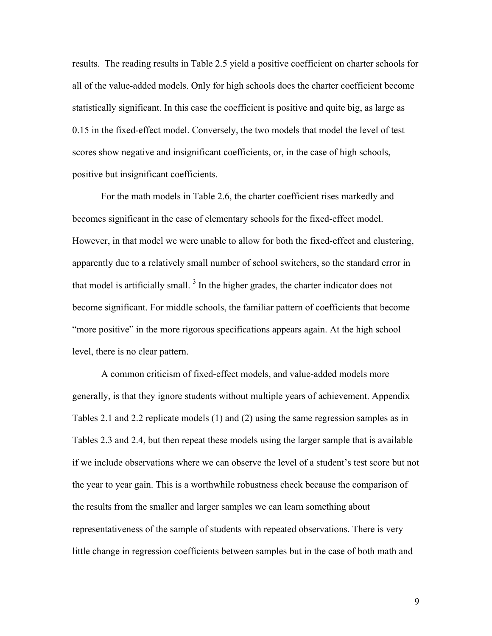results. The reading results in Table 2.5 yield a positive coefficient on charter schools for all of the value-added models. Only for high schools does the charter coefficient become statistically significant. In this case the coefficient is positive and quite big, as large as 0.15 in the fixed-effect model. Conversely, the two models that model the level of test scores show negative and insignificant coefficients, or, in the case of high schools, positive but insignificant coefficients.

For the math models in Table 2.6, the charter coefficient rises markedly and becomes significant in the case of elementary schools for the fixed-effect model. However, in that model we were unable to allow for both the fixed-effect and clustering, apparently due to a relatively small number of school switchers, so the standard error in that model is artificially small.<sup>3</sup> In the higher grades, the charter indicator does not become significant. For middle schools, the familiar pattern of coefficients that become "more positive" in the more rigorous specifications appears again. At the high school level, there is no clear pattern.

A common criticism of fixed-effect models, and value-added models more generally, is that they ignore students without multiple years of achievement. Appendix Tables 2.1 and 2.2 replicate models (1) and (2) using the same regression samples as in Tables 2.3 and 2.4, but then repeat these models using the larger sample that is available if we include observations where we can observe the level of a student's test score but not the year to year gain. This is a worthwhile robustness check because the comparison of the results from the smaller and larger samples we can learn something about representativeness of the sample of students with repeated observations. There is very little change in regression coefficients between samples but in the case of both math and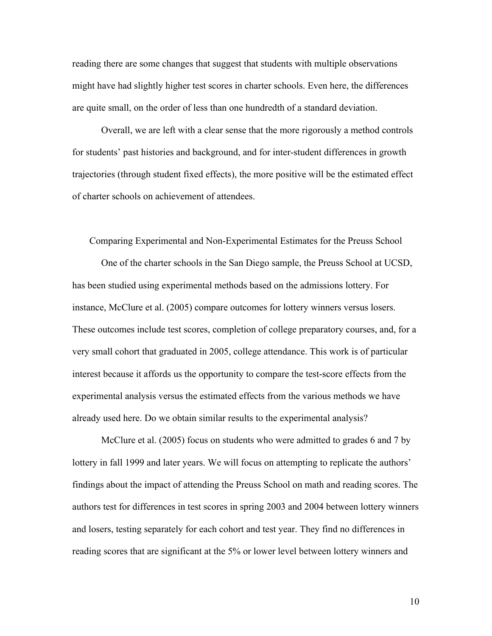reading there are some changes that suggest that students with multiple observations might have had slightly higher test scores in charter schools. Even here, the differences are quite small, on the order of less than one hundredth of a standard deviation.

Overall, we are left with a clear sense that the more rigorously a method controls for students' past histories and background, and for inter-student differences in growth trajectories (through student fixed effects), the more positive will be the estimated effect of charter schools on achievement of attendees.

Comparing Experimental and Non-Experimental Estimates for the Preuss School

One of the charter schools in the San Diego sample, the Preuss School at UCSD, has been studied using experimental methods based on the admissions lottery. For instance, McClure et al. (2005) compare outcomes for lottery winners versus losers. These outcomes include test scores, completion of college preparatory courses, and, for a very small cohort that graduated in 2005, college attendance. This work is of particular interest because it affords us the opportunity to compare the test-score effects from the experimental analysis versus the estimated effects from the various methods we have already used here. Do we obtain similar results to the experimental analysis?

McClure et al. (2005) focus on students who were admitted to grades 6 and 7 by lottery in fall 1999 and later years. We will focus on attempting to replicate the authors' findings about the impact of attending the Preuss School on math and reading scores. The authors test for differences in test scores in spring 2003 and 2004 between lottery winners and losers, testing separately for each cohort and test year. They find no differences in reading scores that are significant at the 5% or lower level between lottery winners and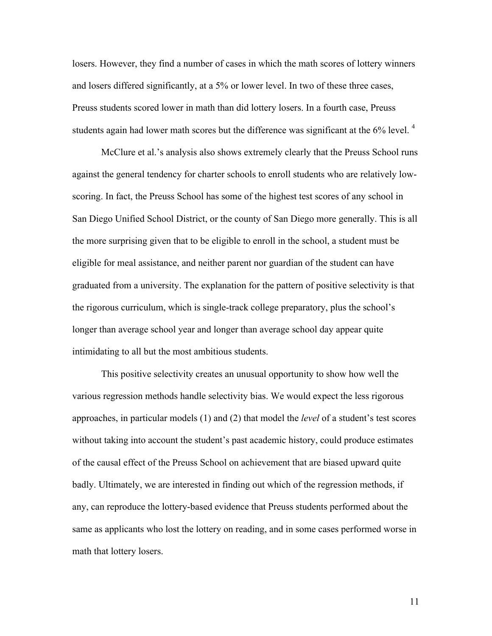losers. However, they find a number of cases in which the math scores of lottery winners and losers differed significantly, at a 5% or lower level. In two of these three cases, Preuss students scored lower in math than did lottery losers. In a fourth case, Preuss students again had lower math scores but the difference was significant at the 6% level.<sup>4</sup>

McClure et al.'s analysis also shows extremely clearly that the Preuss School runs against the general tendency for charter schools to enroll students who are relatively lowscoring. In fact, the Preuss School has some of the highest test scores of any school in San Diego Unified School District, or the county of San Diego more generally. This is all the more surprising given that to be eligible to enroll in the school, a student must be eligible for meal assistance, and neither parent nor guardian of the student can have graduated from a university. The explanation for the pattern of positive selectivity is that the rigorous curriculum, which is single-track college preparatory, plus the school's longer than average school year and longer than average school day appear quite intimidating to all but the most ambitious students.

This positive selectivity creates an unusual opportunity to show how well the various regression methods handle selectivity bias. We would expect the less rigorous approaches, in particular models (1) and (2) that model the *level* of a student's test scores without taking into account the student's past academic history, could produce estimates of the causal effect of the Preuss School on achievement that are biased upward quite badly. Ultimately, we are interested in finding out which of the regression methods, if any, can reproduce the lottery-based evidence that Preuss students performed about the same as applicants who lost the lottery on reading, and in some cases performed worse in math that lottery losers.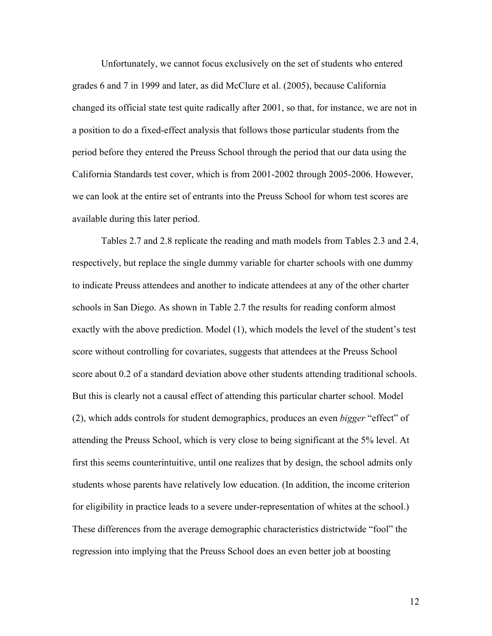Unfortunately, we cannot focus exclusively on the set of students who entered grades 6 and 7 in 1999 and later, as did McClure et al. (2005), because California changed its official state test quite radically after 2001, so that, for instance, we are not in a position to do a fixed-effect analysis that follows those particular students from the period before they entered the Preuss School through the period that our data using the California Standards test cover, which is from 2001-2002 through 2005-2006. However, we can look at the entire set of entrants into the Preuss School for whom test scores are available during this later period.

Tables 2.7 and 2.8 replicate the reading and math models from Tables 2.3 and 2.4, respectively, but replace the single dummy variable for charter schools with one dummy to indicate Preuss attendees and another to indicate attendees at any of the other charter schools in San Diego. As shown in Table 2.7 the results for reading conform almost exactly with the above prediction. Model (1), which models the level of the student's test score without controlling for covariates, suggests that attendees at the Preuss School score about 0.2 of a standard deviation above other students attending traditional schools. But this is clearly not a causal effect of attending this particular charter school. Model (2), which adds controls for student demographics, produces an even *bigger* "effect" of attending the Preuss School, which is very close to being significant at the 5% level. At first this seems counterintuitive, until one realizes that by design, the school admits only students whose parents have relatively low education. (In addition, the income criterion for eligibility in practice leads to a severe under-representation of whites at the school.) These differences from the average demographic characteristics districtwide "fool" the regression into implying that the Preuss School does an even better job at boosting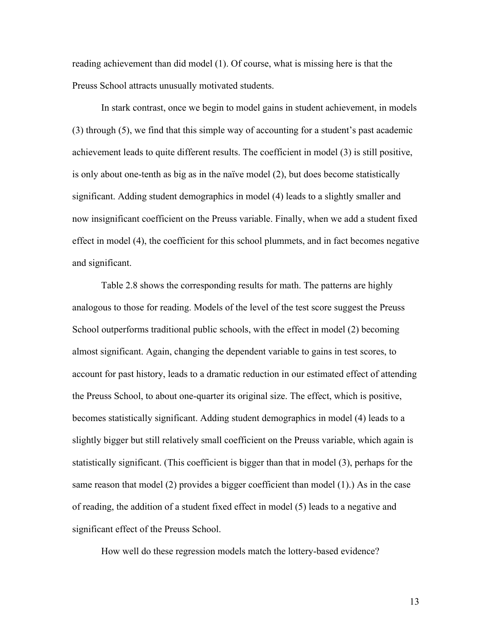reading achievement than did model (1). Of course, what is missing here is that the Preuss School attracts unusually motivated students.

In stark contrast, once we begin to model gains in student achievement, in models (3) through (5), we find that this simple way of accounting for a student's past academic achievement leads to quite different results. The coefficient in model (3) is still positive, is only about one-tenth as big as in the naïve model (2), but does become statistically significant. Adding student demographics in model (4) leads to a slightly smaller and now insignificant coefficient on the Preuss variable. Finally, when we add a student fixed effect in model (4), the coefficient for this school plummets, and in fact becomes negative and significant.

Table 2.8 shows the corresponding results for math. The patterns are highly analogous to those for reading. Models of the level of the test score suggest the Preuss School outperforms traditional public schools, with the effect in model (2) becoming almost significant. Again, changing the dependent variable to gains in test scores, to account for past history, leads to a dramatic reduction in our estimated effect of attending the Preuss School, to about one-quarter its original size. The effect, which is positive, becomes statistically significant. Adding student demographics in model (4) leads to a slightly bigger but still relatively small coefficient on the Preuss variable, which again is statistically significant. (This coefficient is bigger than that in model (3), perhaps for the same reason that model (2) provides a bigger coefficient than model (1).) As in the case of reading, the addition of a student fixed effect in model (5) leads to a negative and significant effect of the Preuss School.

How well do these regression models match the lottery-based evidence?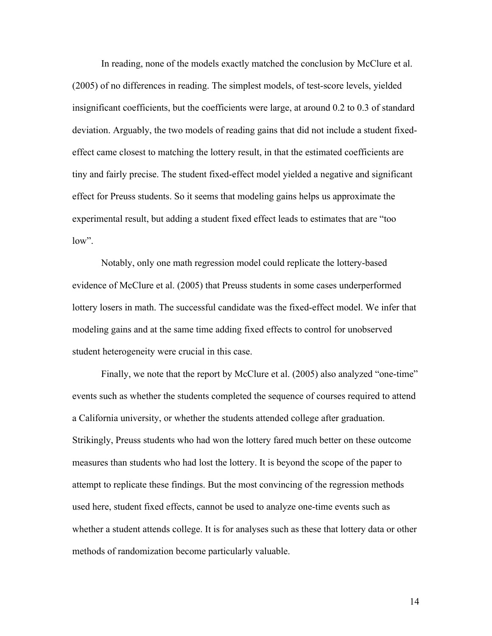In reading, none of the models exactly matched the conclusion by McClure et al. (2005) of no differences in reading. The simplest models, of test-score levels, yielded insignificant coefficients, but the coefficients were large, at around 0.2 to 0.3 of standard deviation. Arguably, the two models of reading gains that did not include a student fixedeffect came closest to matching the lottery result, in that the estimated coefficients are tiny and fairly precise. The student fixed-effect model yielded a negative and significant effect for Preuss students. So it seems that modeling gains helps us approximate the experimental result, but adding a student fixed effect leads to estimates that are "too  $low"$ 

Notably, only one math regression model could replicate the lottery-based evidence of McClure et al. (2005) that Preuss students in some cases underperformed lottery losers in math. The successful candidate was the fixed-effect model. We infer that modeling gains and at the same time adding fixed effects to control for unobserved student heterogeneity were crucial in this case.

Finally, we note that the report by McClure et al. (2005) also analyzed "one-time" events such as whether the students completed the sequence of courses required to attend a California university, or whether the students attended college after graduation. Strikingly, Preuss students who had won the lottery fared much better on these outcome measures than students who had lost the lottery. It is beyond the scope of the paper to attempt to replicate these findings. But the most convincing of the regression methods used here, student fixed effects, cannot be used to analyze one-time events such as whether a student attends college. It is for analyses such as these that lottery data or other methods of randomization become particularly valuable.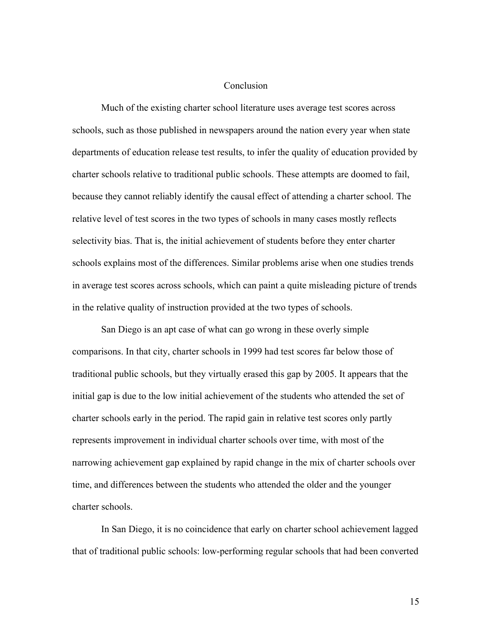#### Conclusion

Much of the existing charter school literature uses average test scores across schools, such as those published in newspapers around the nation every year when state departments of education release test results, to infer the quality of education provided by charter schools relative to traditional public schools. These attempts are doomed to fail, because they cannot reliably identify the causal effect of attending a charter school. The relative level of test scores in the two types of schools in many cases mostly reflects selectivity bias. That is, the initial achievement of students before they enter charter schools explains most of the differences. Similar problems arise when one studies trends in average test scores across schools, which can paint a quite misleading picture of trends in the relative quality of instruction provided at the two types of schools.

San Diego is an apt case of what can go wrong in these overly simple comparisons. In that city, charter schools in 1999 had test scores far below those of traditional public schools, but they virtually erased this gap by 2005. It appears that the initial gap is due to the low initial achievement of the students who attended the set of charter schools early in the period. The rapid gain in relative test scores only partly represents improvement in individual charter schools over time, with most of the narrowing achievement gap explained by rapid change in the mix of charter schools over time, and differences between the students who attended the older and the younger charter schools.

In San Diego, it is no coincidence that early on charter school achievement lagged that of traditional public schools: low-performing regular schools that had been converted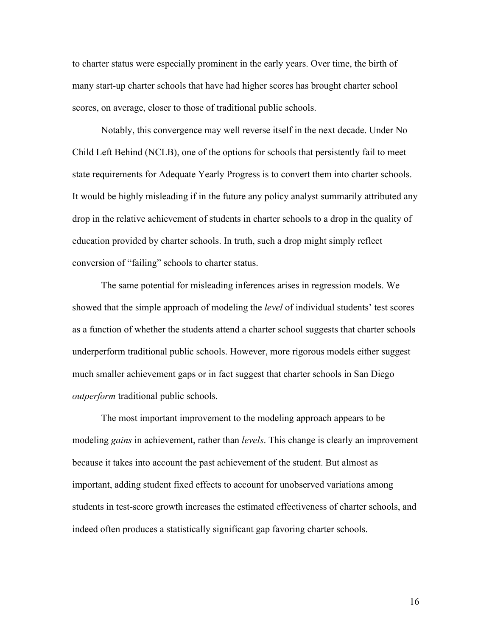to charter status were especially prominent in the early years. Over time, the birth of many start-up charter schools that have had higher scores has brought charter school scores, on average, closer to those of traditional public schools.

Notably, this convergence may well reverse itself in the next decade. Under No Child Left Behind (NCLB), one of the options for schools that persistently fail to meet state requirements for Adequate Yearly Progress is to convert them into charter schools. It would be highly misleading if in the future any policy analyst summarily attributed any drop in the relative achievement of students in charter schools to a drop in the quality of education provided by charter schools. In truth, such a drop might simply reflect conversion of "failing" schools to charter status.

The same potential for misleading inferences arises in regression models. We showed that the simple approach of modeling the *level* of individual students' test scores as a function of whether the students attend a charter school suggests that charter schools underperform traditional public schools. However, more rigorous models either suggest much smaller achievement gaps or in fact suggest that charter schools in San Diego *outperform* traditional public schools.

The most important improvement to the modeling approach appears to be modeling *gains* in achievement, rather than *levels*. This change is clearly an improvement because it takes into account the past achievement of the student. But almost as important, adding student fixed effects to account for unobserved variations among students in test-score growth increases the estimated effectiveness of charter schools, and indeed often produces a statistically significant gap favoring charter schools.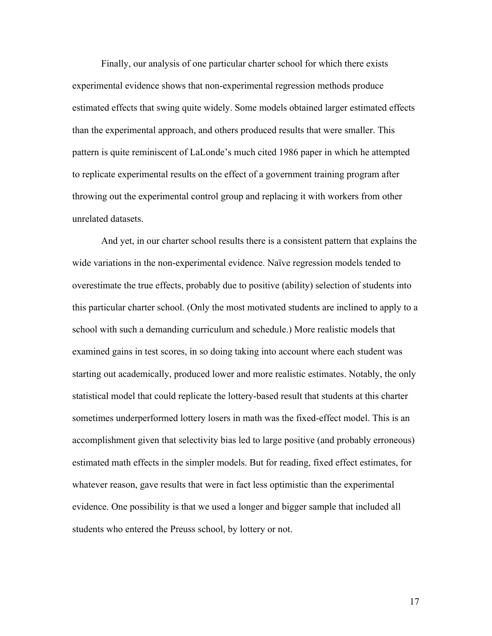Finally, our analysis of one particular charter school for which there exists experimental evidence shows that non-experimental regression methods produce estimated effects that swing quite widely. Some models obtained larger estimated effects than the experimental approach, and others produced results that were smaller. This pattern is quite reminiscent of LaLonde's much cited 1986 paper in which he attempted to replicate experimental results on the effect of a government training program after throwing out the experimental control group and replacing it with workers from other unrelated datasets.

And yet, in our charter school results there is a consistent pattern that explains the wide variations in the non-experimental evidence. Naïve regression models tended to overestimate the true effects, probably due to positive (ability) selection of students into this particular charter school. (Only the most motivated students are inclined to apply to a school with such a demanding curriculum and schedule.) More realistic models that examined gains in test scores, in so doing taking into account where each student was starting out academically, produced lower and more realistic estimates. Notably, the only statistical model that could replicate the lottery-based result that students at this charter sometimes underperformed lottery losers in math was the fixed-effect model. This is an accomplishment given that selectivity bias led to large positive (and probably erroneous) estimated math effects in the simpler models. But for reading, fixed effect estimates, for whatever reason, gave results that were in fact less optimistic than the experimental evidence. One possibility is that we used a longer and bigger sample that included all students who entered the Preuss school, by lottery or not.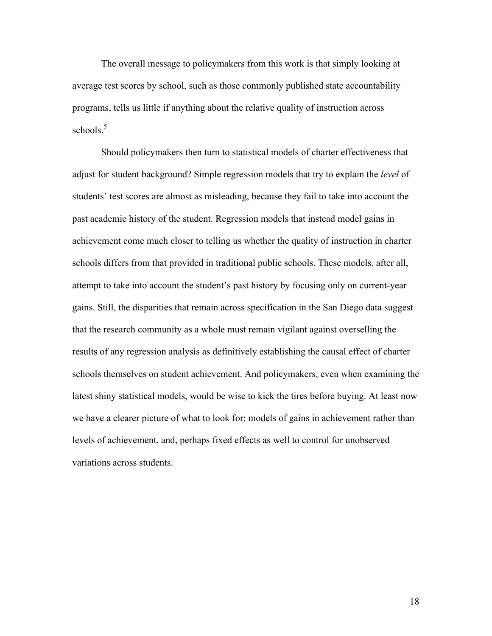The overall message to policymakers from this work is that simply looking at average test scores by school, such as those commonly published state accountability programs, tells us little if anything about the relative quality of instruction across schools $5$ 

Should policymakers then turn to statistical models of charter effectiveness that adjust for student background? Simple regression models that try to explain the *level* of students' test scores are almost as misleading, because they fail to take into account the past academic history of the student. Regression models that instead model gains in achievement come much closer to telling us whether the quality of instruction in charter schools differs from that provided in traditional public schools. These models, after all, attempt to take into account the student's past history by focusing only on current-year gains. Still, the disparities that remain across specification in the San Diego data suggest that the research community as a whole must remain vigilant against overselling the results of any regression analysis as definitively establishing the causal effect of charter schools themselves on student achievement. And policymakers, even when examining the latest shiny statistical models, would be wise to kick the tires before buying. At least now we have a clearer picture of what to look for: models of gains in achievement rather than levels of achievement, and, perhaps fixed effects as well to control for unobserved variations across students.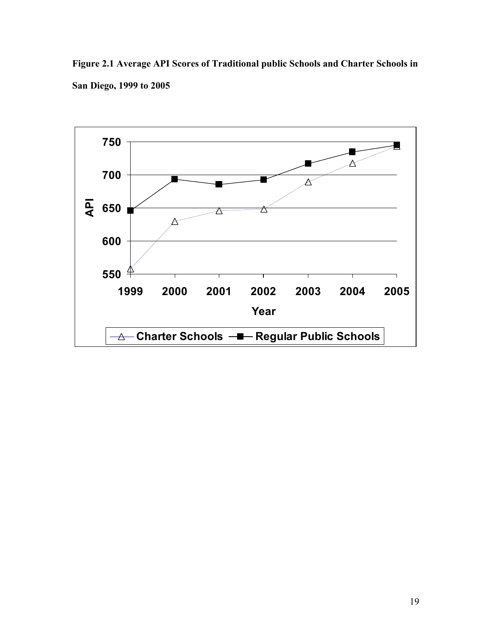**Figure 2.1 Average API Scores of Traditional public Schools and Charter Schools in San Diego, 1999 to 2005**

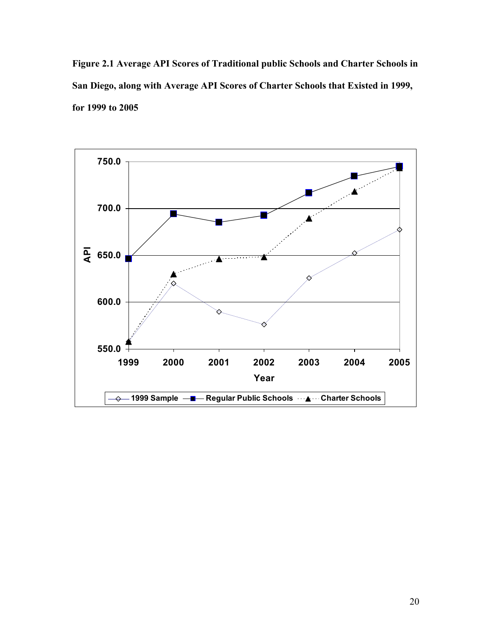**Figure 2.1 Average API Scores of Traditional public Schools and Charter Schools in San Diego, along with Average API Scores of Charter Schools that Existed in 1999, for 1999 to 2005** 

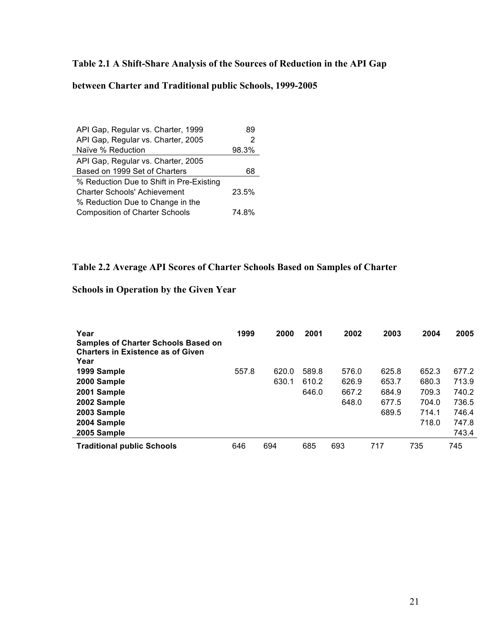# **Table 2.1 A Shift-Share Analysis of the Sources of Reduction in the API Gap**

## **between Charter and Traditional public Schools, 1999-2005**

| API Gap, Regular vs. Charter, 1999       | 89    |
|------------------------------------------|-------|
| API Gap, Regular vs. Charter, 2005       | 2     |
| Naïve % Reduction                        | 98.3% |
| API Gap, Regular vs. Charter, 2005       |       |
| Based on 1999 Set of Charters            | 68    |
| % Reduction Due to Shift in Pre-Existing |       |
| <b>Charter Schools' Achievement</b>      | 23.5% |
| % Reduction Due to Change in the         |       |
| <b>Composition of Charter Schools</b>    | 74.8% |

## **Table 2.2 Average API Scores of Charter Schools Based on Samples of Charter**

## **Schools in Operation by the Given Year**

| Year<br><b>Samples of Charter Schools Based on</b><br><b>Charters in Existence as of Given</b><br>Year | 1999  | 2000  | 2001  | 2002  | 2003  | 2004  | 2005  |
|--------------------------------------------------------------------------------------------------------|-------|-------|-------|-------|-------|-------|-------|
| 1999 Sample                                                                                            | 557.8 | 620.0 | 589.8 | 576.0 | 625.8 | 652.3 | 677.2 |
| 2000 Sample                                                                                            |       | 630.1 | 610.2 | 626.9 | 653.7 | 680.3 | 713.9 |
| 2001 Sample                                                                                            |       |       | 646.0 | 667.2 | 684.9 | 709.3 | 740.2 |
| 2002 Sample                                                                                            |       |       |       | 648.0 | 677.5 | 704.0 | 736.5 |
| 2003 Sample                                                                                            |       |       |       |       | 689.5 | 714.1 | 746.4 |
| 2004 Sample                                                                                            |       |       |       |       |       | 718.0 | 747.8 |
| 2005 Sample                                                                                            |       |       |       |       |       |       | 743.4 |
| <b>Traditional public Schools</b>                                                                      | 646   | 694   | 685   | 693   | 717   | 735   | 745   |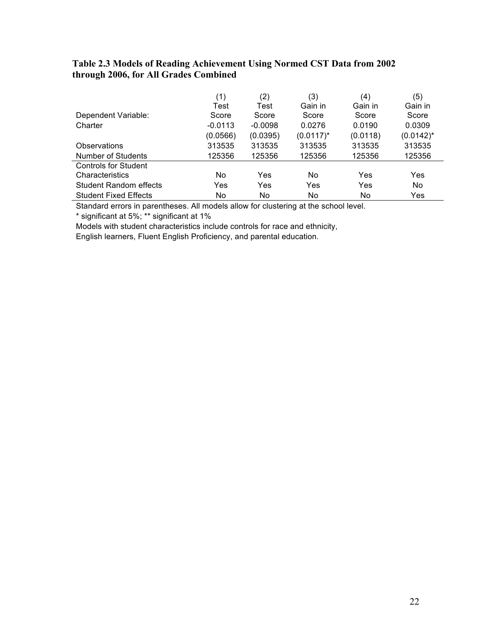|                               | (1)       | (2)       | (3)          | $\left( 4\right)$ | (5)          |
|-------------------------------|-----------|-----------|--------------|-------------------|--------------|
|                               | Test      | Test      | Gain in      | Gain in           | Gain in      |
| Dependent Variable:           | Score     | Score     | Score        | Score             | Score        |
| Charter                       | $-0.0113$ | $-0.0098$ | 0.0276       | 0.0190            | 0.0309       |
|                               | (0.0566)  | (0.0395)  | $(0.0117)^*$ | (0.0118)          | $(0.0142)^*$ |
| <b>Observations</b>           | 313535    | 313535    | 313535       | 313535            | 313535       |
| Number of Students            | 125356    | 125356    | 125356       | 125356            | 125356       |
| Controls for Student          |           |           |              |                   |              |
| Characteristics               | No        | Yes       | No           | Yes               | Yes          |
| <b>Student Random effects</b> | Yes       | Yes       | Yes          | Yes               | No           |
| <b>Student Fixed Effects</b>  | No        | No        | No           | No                | Yes          |

## **Table 2.3 Models of Reading Achievement Using Normed CST Data from 2002 through 2006, for All Grades Combined**

Standard errors in parentheses. All models allow for clustering at the school level.

\* significant at 5%; \*\* significant at 1%

Models with student characteristics include controls for race and ethnicity,

English learners, Fluent English Proficiency, and parental education.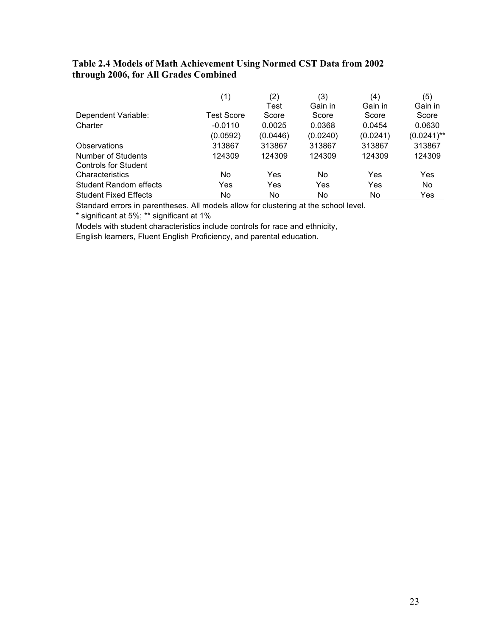## **Table 2.4 Models of Math Achievement Using Normed CST Data from 2002 through 2006, for All Grades Combined**

|                              | (1)               | (2)      | (3)      | (4)      | (5)           |
|------------------------------|-------------------|----------|----------|----------|---------------|
|                              |                   | Test     | Gain in  | Gain in  | Gain in       |
| Dependent Variable:          | <b>Test Score</b> | Score    | Score    | Score    | Score         |
| Charter                      | $-0.0110$         | 0.0025   | 0.0368   | 0.0454   | 0.0630        |
|                              | (0.0592)          | (0.0446) | (0.0240) | (0.0241) | $(0.0241)$ ** |
| <b>Observations</b>          | 313867            | 313867   | 313867   | 313867   | 313867        |
| Number of Students           | 124309            | 124309   | 124309   | 124309   | 124309        |
| <b>Controls for Student</b>  |                   |          |          |          |               |
| Characteristics              | No                | Yes      | No       | Yes      | Yes           |
| Student Random effects       | Yes               | Yes      | Yes      | Yes      | No            |
| <b>Student Fixed Effects</b> | No.               | No       | No       | No       | Yes           |

Standard errors in parentheses. All models allow for clustering at the school level.

\* significant at 5%; \*\* significant at 1%

Models with student characteristics include controls for race and ethnicity,

English learners, Fluent English Proficiency, and parental education.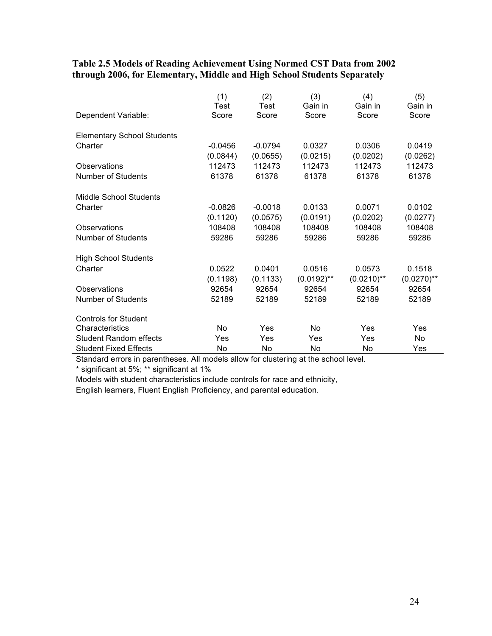## **Table 2.5 Models of Reading Achievement Using Normed CST Data from 2002 through 2006, for Elementary, Middle and High School Students Separately**

|                                   | (1)       | (2)       | (3)           | (4)           | (5)           |
|-----------------------------------|-----------|-----------|---------------|---------------|---------------|
|                                   | Test      | Test      | Gain in       | Gain in       | Gain in       |
| Dependent Variable:               | Score     | Score     | Score         | Score         | Score         |
| <b>Elementary School Students</b> |           |           |               |               |               |
| Charter                           | $-0.0456$ | $-0.0794$ | 0.0327        | 0.0306        | 0.0419        |
|                                   | (0.0844)  | (0.0655)  | (0.0215)      | (0.0202)      | (0.0262)      |
| Observations                      | 112473    | 112473    | 112473        | 112473        | 112473        |
| Number of Students                | 61378     | 61378     | 61378         | 61378         | 61378         |
| Middle School Students            |           |           |               |               |               |
| Charter                           | $-0.0826$ | $-0.0018$ | 0.0133        | 0.0071        | 0.0102        |
|                                   | (0.1120)  | (0.0575)  | (0.0191)      | (0.0202)      | (0.0277)      |
| Observations                      | 108408    | 108408    | 108408        | 108408        | 108408        |
| Number of Students                | 59286     | 59286     | 59286         | 59286         | 59286         |
| <b>High School Students</b>       |           |           |               |               |               |
| Charter                           | 0.0522    | 0.0401    | 0.0516        | 0.0573        | 0.1518        |
|                                   | (0.1198)  | (0.1133)  | $(0.0192)$ ** | $(0.0210)$ ** | $(0.0270)$ ** |
| Observations                      | 92654     | 92654     | 92654         | 92654         | 92654         |
| <b>Number of Students</b>         | 52189     | 52189     | 52189         | 52189         | 52189         |
| <b>Controls for Student</b>       |           |           |               |               |               |
| Characteristics                   | No.       | Yes       | No.           | Yes           | Yes           |
| <b>Student Random effects</b>     | Yes       | Yes       | Yes           | Yes           | No            |
| <b>Student Fixed Effects</b>      | No        | No        | No            | No            | Yes           |

Standard errors in parentheses. All models allow for clustering at the school level.

\* significant at 5%; \*\* significant at 1%

Models with student characteristics include controls for race and ethnicity,

English learners, Fluent English Proficiency, and parental education.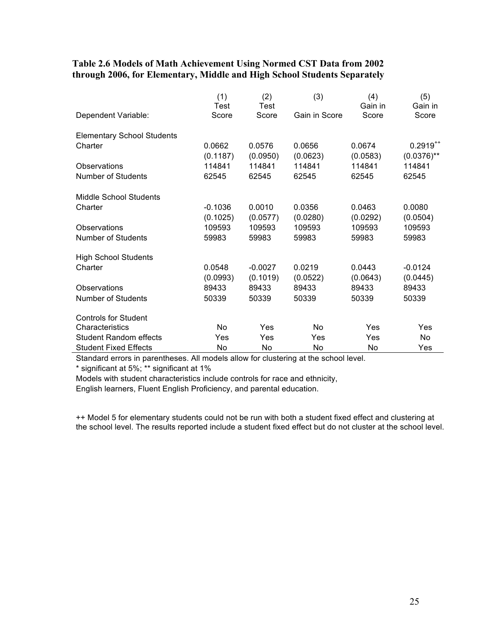#### **Table 2.6 Models of Math Achievement Using Normed CST Data from 2002 through 2006, for Elementary, Middle and High School Students Separately**

|                                   | (1)       | (2)       | (3)           | (4)      | (5)           |
|-----------------------------------|-----------|-----------|---------------|----------|---------------|
|                                   | Test      | Test      |               | Gain in  | Gain in       |
| Dependent Variable:               | Score     | Score     | Gain in Score | Score    | Score         |
| <b>Elementary School Students</b> |           |           |               |          |               |
| Charter                           | 0.0662    | 0.0576    | 0.0656        | 0.0674   | $0.2919^{++}$ |
|                                   | (0.1187)  | (0.0950)  | (0.0623)      | (0.0583) | $(0.0376)$ ** |
| Observations                      | 114841    | 114841    | 114841        | 114841   | 114841        |
| <b>Number of Students</b>         | 62545     | 62545     | 62545         | 62545    | 62545         |
| Middle School Students            |           |           |               |          |               |
| Charter                           | $-0.1036$ | 0.0010    | 0.0356        | 0.0463   | 0.0080        |
|                                   | (0.1025)  | (0.0577)  | (0.0280)      | (0.0292) | (0.0504)      |
| Observations                      | 109593    | 109593    | 109593        | 109593   | 109593        |
| <b>Number of Students</b>         | 59983     | 59983     | 59983         | 59983    | 59983         |
| <b>High School Students</b>       |           |           |               |          |               |
| Charter                           | 0.0548    | $-0.0027$ | 0.0219        | 0.0443   | $-0.0124$     |
|                                   | (0.0993)  | (0.1019)  | (0.0522)      | (0.0643) | (0.0445)      |
| Observations                      | 89433     | 89433     | 89433         | 89433    | 89433         |
| Number of Students                | 50339     | 50339     | 50339         | 50339    | 50339         |
| <b>Controls for Student</b>       |           |           |               |          |               |
| Characteristics                   | No        | Yes       | No            | Yes      | Yes           |
| <b>Student Random effects</b>     | Yes       | Yes       | Yes           | Yes      | No            |
| <b>Student Fixed Effects</b>      | No        | No        | No            | No       | Yes           |

Standard errors in parentheses. All models allow for clustering at the school level.

\* significant at 5%; \*\* significant at 1%

Models with student characteristics include controls for race and ethnicity,

English learners, Fluent English Proficiency, and parental education.

++ Model 5 for elementary students could not be run with both a student fixed effect and clustering at the school level. The results reported include a student fixed effect but do not cluster at the school level.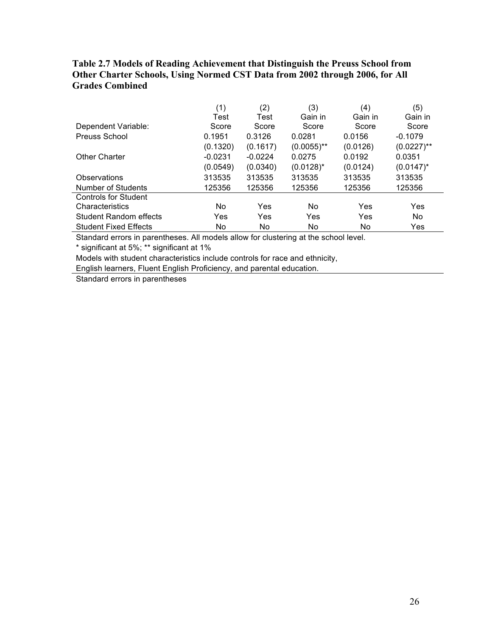## **Table 2.7 Models of Reading Achievement that Distinguish the Preuss School from Other Charter Schools, Using Normed CST Data from 2002 through 2006, for All Grades Combined**

|                               | (1)       | (2)       | (3)           | (4)      | (5)           |
|-------------------------------|-----------|-----------|---------------|----------|---------------|
|                               | Test      | Test      | Gain in       | Gain in  | Gain in       |
| Dependent Variable:           | Score     | Score     | Score         | Score    | Score         |
| Preuss School                 | 0.1951    | 0.3126    | 0.0281        | 0.0156   | $-0.1079$     |
|                               | (0.1320)  | (0.1617)  | $(0.0055)$ ** | (0.0126) | $(0.0227)$ ** |
| <b>Other Charter</b>          | $-0.0231$ | $-0.0224$ | 0.0275        | 0.0192   | 0.0351        |
|                               | (0.0549)  | (0.0340)  | $(0.0128)^*$  | (0.0124) | $(0.0147)^*$  |
| Observations                  | 313535    | 313535    | 313535        | 313535   | 313535        |
| Number of Students            | 125356    | 125356    | 125356        | 125356   | 125356        |
| Controls for Student          |           |           |               |          |               |
| Characteristics               | No        | Yes       | No            | Yes      | Yes           |
| <b>Student Random effects</b> | Yes       | Yes       | Yes           | Yes      | No.           |
| <b>Student Fixed Effects</b>  | No        | No        | No            | No       | Yes           |

Standard errors in parentheses. All models allow for clustering at the school level.

\* significant at 5%; \*\* significant at 1%

Models with student characteristics include controls for race and ethnicity,

English learners, Fluent English Proficiency, and parental education.

Standard errors in parentheses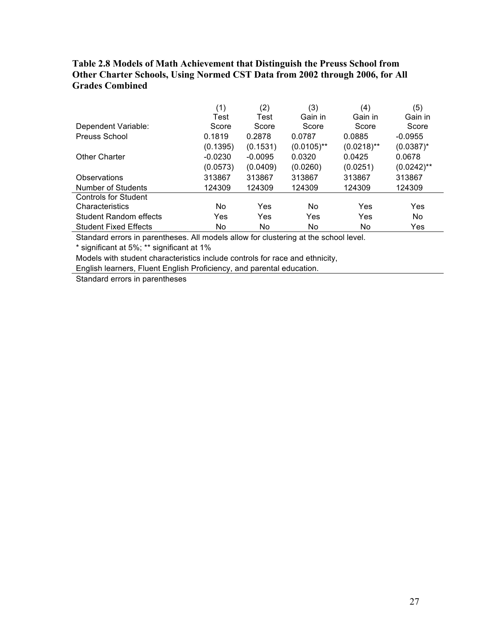## **Table 2.8 Models of Math Achievement that Distinguish the Preuss School from Other Charter Schools, Using Normed CST Data from 2002 through 2006, for All Grades Combined**

| (1)       |           | (3)           | (4)           | (5)           |
|-----------|-----------|---------------|---------------|---------------|
| Test      | Test      | Gain in       | Gain in       | Gain in       |
| Score     | Score     | Score         | Score         | Score         |
| 0.1819    | 0.2878    | 0.0787        | 0.0885        | $-0.0955$     |
| (0.1395)  | (0.1531)  | $(0.0105)$ ** | $(0.0218)$ ** | $(0.0387)^*$  |
| $-0.0230$ | $-0.0095$ | 0.0320        | 0.0425        | 0.0678        |
| (0.0573)  | (0.0409)  | (0.0260)      | (0.0251)      | $(0.0242)$ ** |
| 313867    | 313867    | 313867        | 313867        | 313867        |
| 124309    | 124309    | 124309        | 124309        | 124309        |
|           |           |               |               |               |
| No        | Yes       | No            | Yes           | Yes           |
| Yes       | Yes       | Yes           | Yes           | No.           |
| No        | No        | No            | No            | Yes           |
|           |           | (2)           |               |               |

Standard errors in parentheses. All models allow for clustering at the school level.

\* significant at 5%; \*\* significant at 1%

Models with student characteristics include controls for race and ethnicity,

English learners, Fluent English Proficiency, and parental education.

Standard errors in parentheses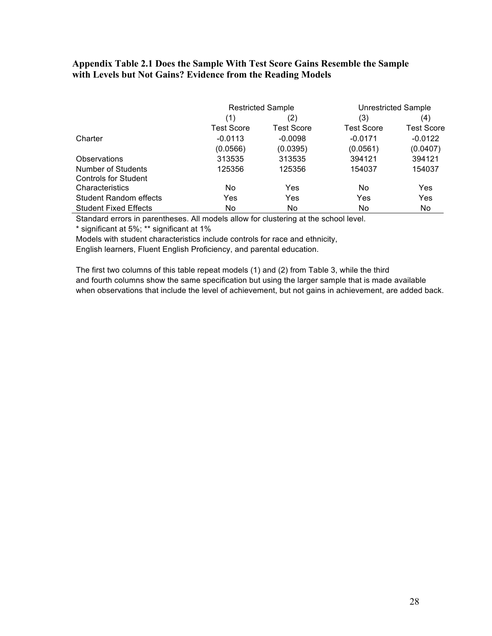#### **Appendix Table 2.1 Does the Sample With Test Score Gains Resemble the Sample with Levels but Not Gains? Evidence from the Reading Models**

|                              |                   | <b>Restricted Sample</b> |                   | <b>Unrestricted Sample</b> |  |
|------------------------------|-------------------|--------------------------|-------------------|----------------------------|--|
|                              | (1)               | (2)                      | (3)               | (4)                        |  |
|                              | <b>Test Score</b> | <b>Test Score</b>        | <b>Test Score</b> | <b>Test Score</b>          |  |
| Charter                      | $-0.0113$         | $-0.0098$                | $-0.0171$         | $-0.0122$                  |  |
|                              | (0.0566)          | (0.0395)                 | (0.0561)          | (0.0407)                   |  |
| <b>Observations</b>          | 313535            | 313535                   | 394121            | 394121                     |  |
| Number of Students           | 125356            | 125356                   | 154037            | 154037                     |  |
| <b>Controls for Student</b>  |                   |                          |                   |                            |  |
| Characteristics              | No                | Yes                      | No                | Yes                        |  |
| Student Random effects       | Yes               | Yes                      | Yes               | Yes                        |  |
| <b>Student Fixed Effects</b> | No                | No.                      | No                | No                         |  |

Standard errors in parentheses. All models allow for clustering at the school level.

\* significant at 5%; \*\* significant at 1%

Models with student characteristics include controls for race and ethnicity,

English learners, Fluent English Proficiency, and parental education.

The first two columns of this table repeat models (1) and (2) from Table 3, while the third and fourth columns show the same specification but using the larger sample that is made available when observations that include the level of achievement, but not gains in achievement, are added back.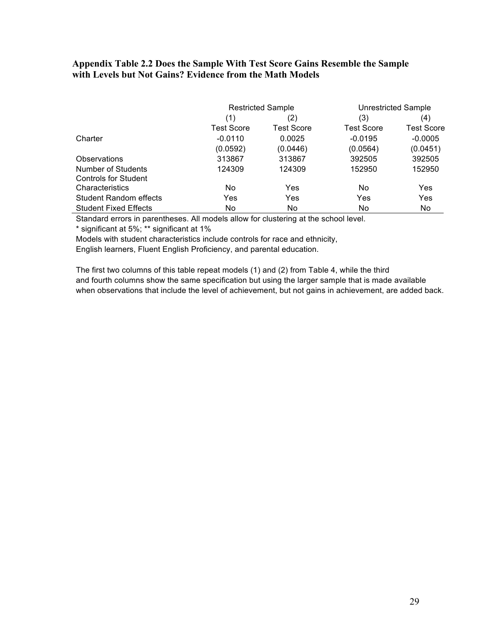#### **Appendix Table 2.2 Does the Sample With Test Score Gains Resemble the Sample with Levels but Not Gains? Evidence from the Math Models**

|                              |            | <b>Restricted Sample</b> | <b>Unrestricted Sample</b> |                   |  |
|------------------------------|------------|--------------------------|----------------------------|-------------------|--|
|                              | (1)        | (2)                      | (3)                        | (4)               |  |
|                              | Test Score | <b>Test Score</b>        | <b>Test Score</b>          | <b>Test Score</b> |  |
| Charter                      | $-0.0110$  | 0.0025                   | $-0.0195$                  | $-0.0005$         |  |
|                              | (0.0592)   | (0.0446)                 | (0.0564)                   | (0.0451)          |  |
| <b>Observations</b>          | 313867     | 313867                   | 392505                     | 392505            |  |
| Number of Students           | 124309     | 124309                   | 152950                     | 152950            |  |
| <b>Controls for Student</b>  |            |                          |                            |                   |  |
| Characteristics              | No         | Yes                      | No                         | Yes               |  |
| Student Random effects       | Yes        | Yes                      | Yes                        | Yes               |  |
| <b>Student Fixed Effects</b> | No         | No.                      | No                         | No                |  |

Standard errors in parentheses. All models allow for clustering at the school level.

\* significant at 5%; \*\* significant at 1%

Models with student characteristics include controls for race and ethnicity,

English learners, Fluent English Proficiency, and parental education.

The first two columns of this table repeat models (1) and (2) from Table 4, while the third and fourth columns show the same specification but using the larger sample that is made available when observations that include the level of achievement, but not gains in achievement, are added back.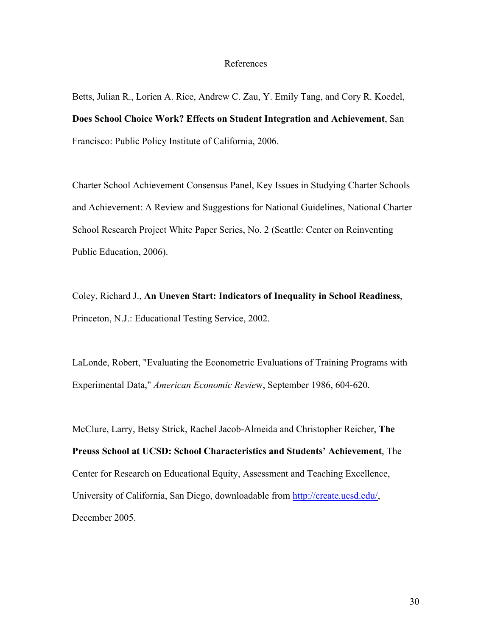#### References

Betts, Julian R., Lorien A. Rice, Andrew C. Zau, Y. Emily Tang, and Cory R. Koedel, **Does School Choice Work? Effects on Student Integration and Achievement**, San Francisco: Public Policy Institute of California, 2006.

Charter School Achievement Consensus Panel, Key Issues in Studying Charter Schools and Achievement: A Review and Suggestions for National Guidelines, National Charter School Research Project White Paper Series, No. 2 (Seattle: Center on Reinventing Public Education, 2006).

Coley, Richard J., **An Uneven Start: Indicators of Inequality in School Readiness**, Princeton, N.J.: Educational Testing Service, 2002.

LaLonde, Robert, "Evaluating the Econometric Evaluations of Training Programs with Experimental Data," *American Economic Revie*w, September 1986, 604-620.

McClure, Larry, Betsy Strick, Rachel Jacob-Almeida and Christopher Reicher, **The Preuss School at UCSD: School Characteristics and Students' Achievement**, The Center for Research on Educational Equity, Assessment and Teaching Excellence, University of California, San Diego, downloadable from http://create.ucsd.edu/, December 2005.